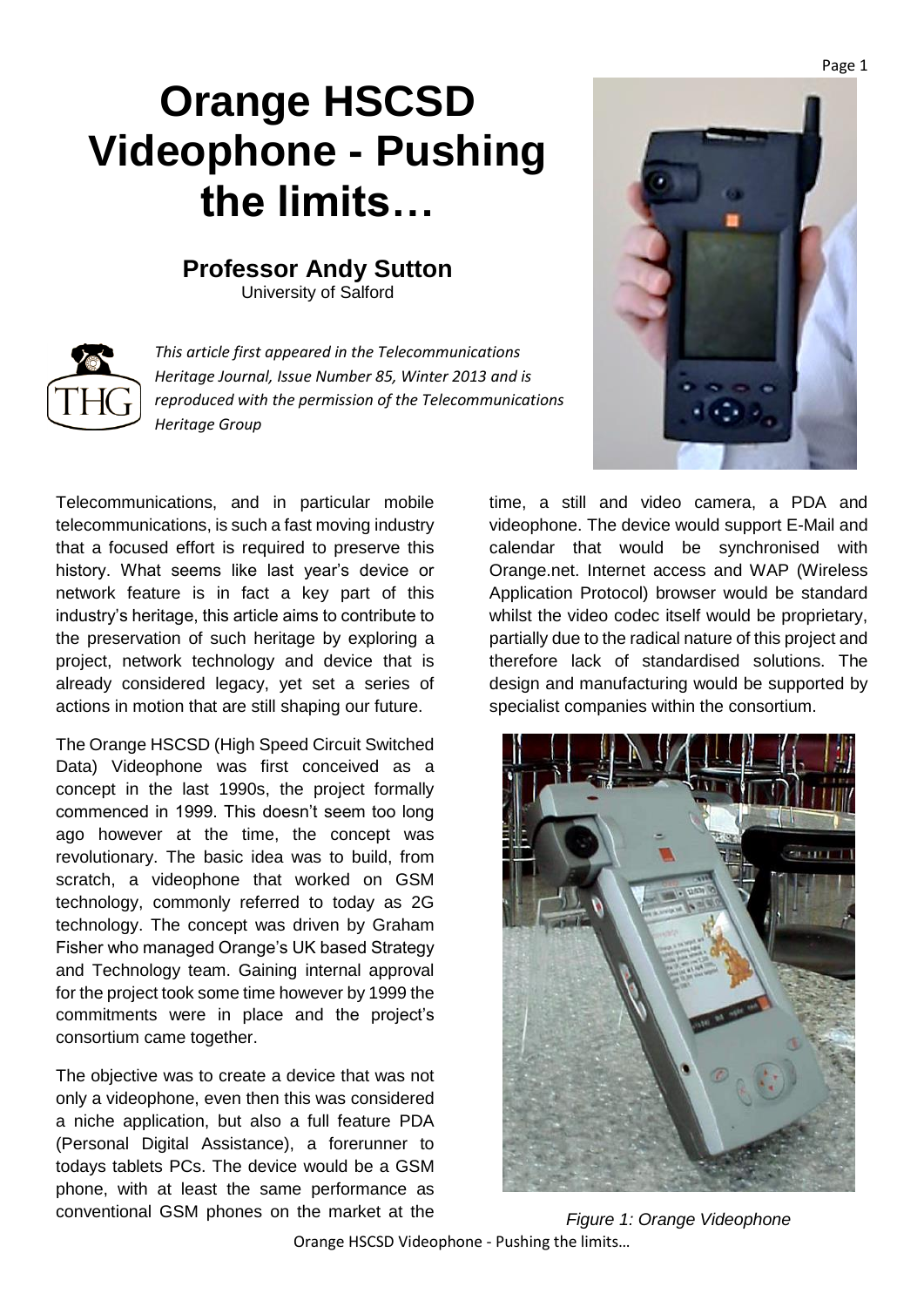## **Orange HSCSD Videophone - Pushing the limits…**

## **Professor Andy Sutton**

University of Salford



*This article first appeared in the Telecommunications Heritage Journal, Issue Number 85, Winter 2013 and is reproduced with the permission of the Telecommunications Heritage Group*

Telecommunications, and in particular mobile telecommunications, is such a fast moving industry that a focused effort is required to preserve this history. What seems like last year's device or network feature is in fact a key part of this industry's heritage, this article aims to contribute to the preservation of such heritage by exploring a project, network technology and device that is already considered legacy, yet set a series of actions in motion that are still shaping our future.

The Orange HSCSD (High Speed Circuit Switched Data) Videophone was first conceived as a concept in the last 1990s, the project formally commenced in 1999. This doesn't seem too long ago however at the time, the concept was revolutionary. The basic idea was to build, from scratch, a videophone that worked on GSM technology, commonly referred to today as 2G technology. The concept was driven by Graham Fisher who managed Orange's UK based Strategy and Technology team. Gaining internal approval for the project took some time however by 1999 the commitments were in place and the project's consortium came together.

The objective was to create a device that was not only a videophone, even then this was considered a niche application, but also a full feature PDA (Personal Digital Assistance), a forerunner to todays tablets PCs. The device would be a GSM phone, with at least the same performance as conventional GSM phones on the market at the



time, a still and video camera, a PDA and videophone. The device would support E-Mail and calendar that would be synchronised with Orange.net. Internet access and WAP (Wireless Application Protocol) browser would be standard whilst the video codec itself would be proprietary, partially due to the radical nature of this project and therefore lack of standardised solutions. The design and manufacturing would be supported by specialist companies within the consortium.



*Figure 1: Orange Videophone*

Orange HSCSD Videophone - Pushing the limits…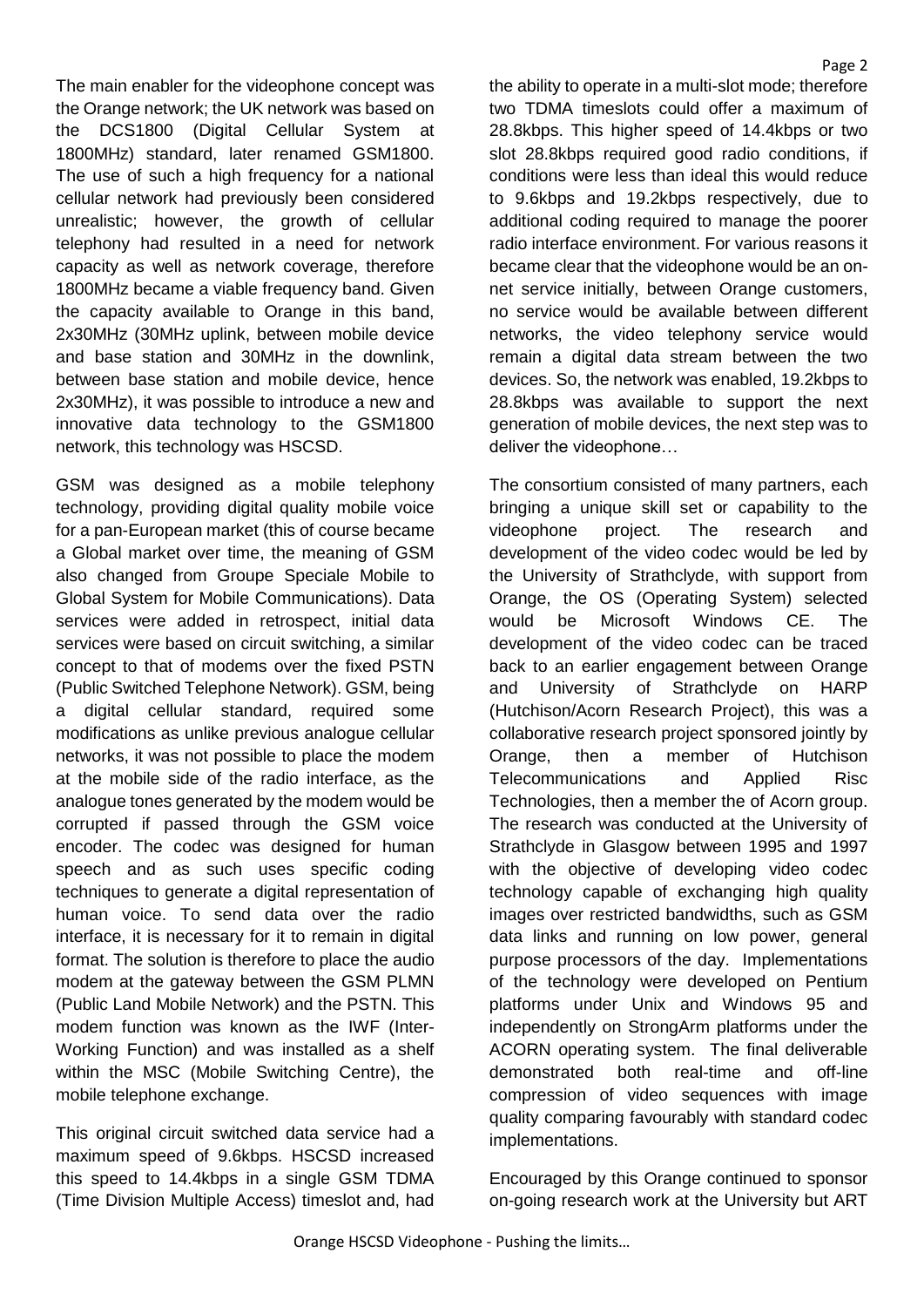The main enabler for the videophone concept was the Orange network; the UK network was based on the DCS1800 (Digital Cellular System at 1800MHz) standard, later renamed GSM1800. The use of such a high frequency for a national cellular network had previously been considered unrealistic; however, the growth of cellular telephony had resulted in a need for network capacity as well as network coverage, therefore 1800MHz became a viable frequency band. Given the capacity available to Orange in this band, 2x30MHz (30MHz uplink, between mobile device and base station and 30MHz in the downlink, between base station and mobile device, hence 2x30MHz), it was possible to introduce a new and innovative data technology to the GSM1800 network, this technology was HSCSD.

GSM was designed as a mobile telephony technology, providing digital quality mobile voice for a pan-European market (this of course became a Global market over time, the meaning of GSM also changed from Groupe Speciale Mobile to Global System for Mobile Communications). Data services were added in retrospect, initial data services were based on circuit switching, a similar concept to that of modems over the fixed PSTN (Public Switched Telephone Network). GSM, being a digital cellular standard, required some modifications as unlike previous analogue cellular networks, it was not possible to place the modem at the mobile side of the radio interface, as the analogue tones generated by the modem would be corrupted if passed through the GSM voice encoder. The codec was designed for human speech and as such uses specific coding techniques to generate a digital representation of human voice. To send data over the radio interface, it is necessary for it to remain in digital format. The solution is therefore to place the audio modem at the gateway between the GSM PLMN (Public Land Mobile Network) and the PSTN. This modem function was known as the IWF (Inter-Working Function) and was installed as a shelf within the MSC (Mobile Switching Centre), the mobile telephone exchange.

This original circuit switched data service had a maximum speed of 9.6kbps. HSCSD increased this speed to 14.4kbps in a single GSM TDMA (Time Division Multiple Access) timeslot and, had the ability to operate in a multi-slot mode; therefore two TDMA timeslots could offer a maximum of 28.8kbps. This higher speed of 14.4kbps or two slot 28.8kbps required good radio conditions, if conditions were less than ideal this would reduce to 9.6kbps and 19.2kbps respectively, due to additional coding required to manage the poorer radio interface environment. For various reasons it became clear that the videophone would be an onnet service initially, between Orange customers, no service would be available between different networks, the video telephony service would remain a digital data stream between the two devices. So, the network was enabled, 19.2kbps to 28.8kbps was available to support the next generation of mobile devices, the next step was to deliver the videophone…

The consortium consisted of many partners, each bringing a unique skill set or capability to the videophone project. The research and development of the video codec would be led by the University of Strathclyde, with support from Orange, the OS (Operating System) selected would be Microsoft Windows CE. The development of the video codec can be traced back to an earlier engagement between Orange and University of Strathclyde on HARP (Hutchison/Acorn Research Project), this was a collaborative research project sponsored jointly by Orange, then a member of Hutchison Telecommunications and Applied Risc Technologies, then a member the of Acorn group. The research was conducted at the University of Strathclyde in Glasgow between 1995 and 1997 with the objective of developing video codec technology capable of exchanging high quality images over restricted bandwidths, such as GSM data links and running on low power, general purpose processors of the day. Implementations of the technology were developed on Pentium platforms under Unix and Windows 95 and independently on StrongArm platforms under the ACORN operating system. The final deliverable demonstrated both real-time and off-line compression of video sequences with image quality comparing favourably with standard codec implementations.

Encouraged by this Orange continued to sponsor on-going research work at the University but ART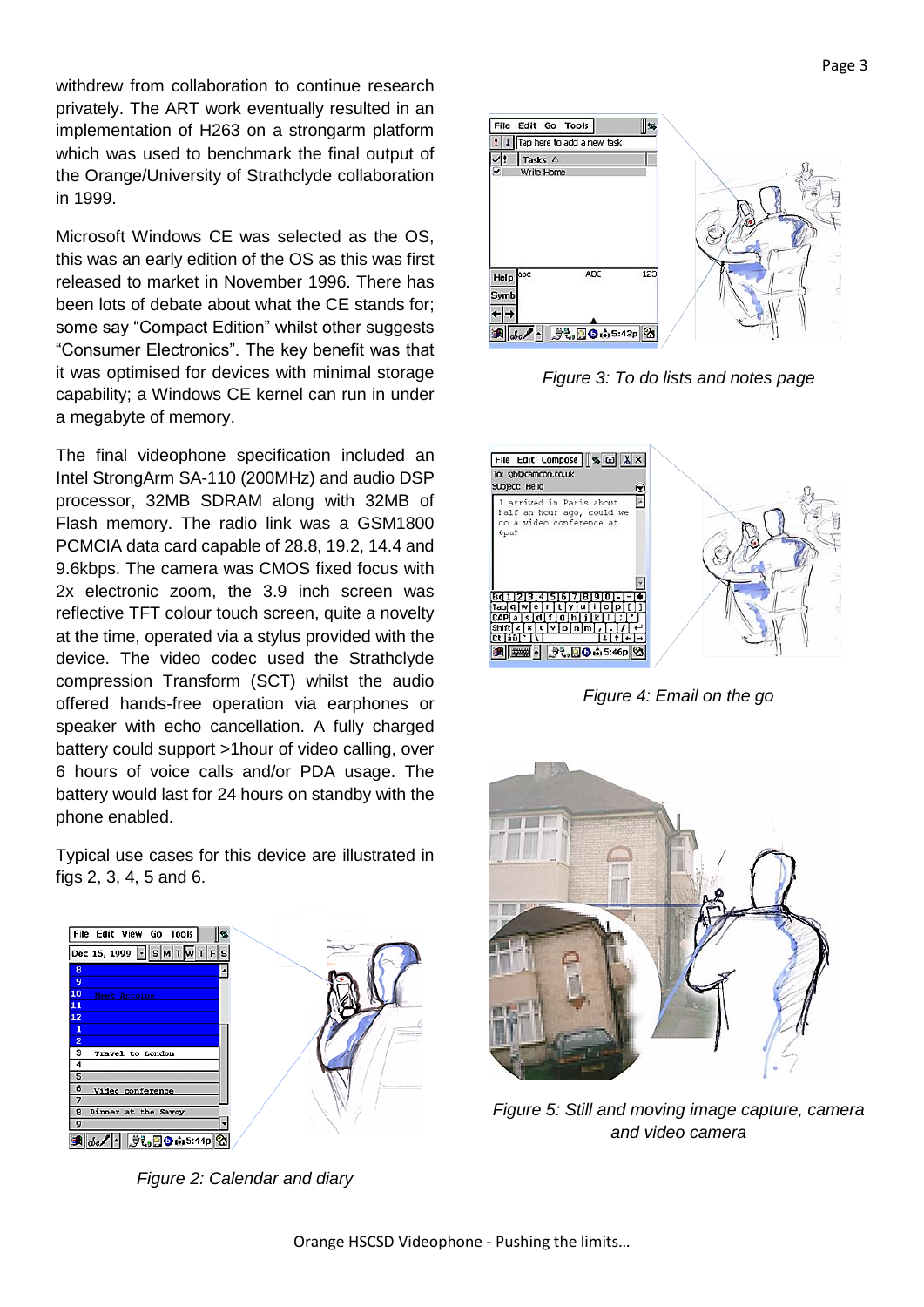withdrew from collaboration to continue research privately. The ART work eventually resulted in an implementation of H263 on a strongarm platform which was used to benchmark the final output of the Orange/University of Strathclyde collaboration in 1999.

Microsoft Windows CE was selected as the OS, this was an early edition of the OS as this was first released to market in November 1996. There has been lots of debate about what the CE stands for; some say "Compact Edition" whilst other suggests "Consumer Electronics". The key benefit was that it was optimised for devices with minimal storage capability; a Windows CE kernel can run in under a megabyte of memory.

The final videophone specification included an Intel StrongArm SA-110 (200MHz) and audio DSP processor, 32MB SDRAM along with 32MB of Flash memory. The radio link was a GSM1800 PCMCIA data card capable of 28.8, 19.2, 14.4 and 9.6kbps. The camera was CMOS fixed focus with 2x electronic zoom, the 3.9 inch screen was reflective TFT colour touch screen, quite a novelty at the time, operated via a stylus provided with the device. The video codec used the Strathclyde compression Transform (SCT) whilst the audio offered hands-free operation via earphones or speaker with echo cancellation. A fully charged battery could support >1hour of video calling, over 6 hours of voice calls and/or PDA usage. The battery would last for 24 hours on standby with the phone enabled.

Typical use cases for this device are illustrated in figs 2, 3, 4, 5 and 6.



*Figure 2: Calendar and diary*



*Figure 3: To do lists and notes page*



*Figure 4: Email on the go*



*Figure 5: Still and moving image capture, camera and video camera*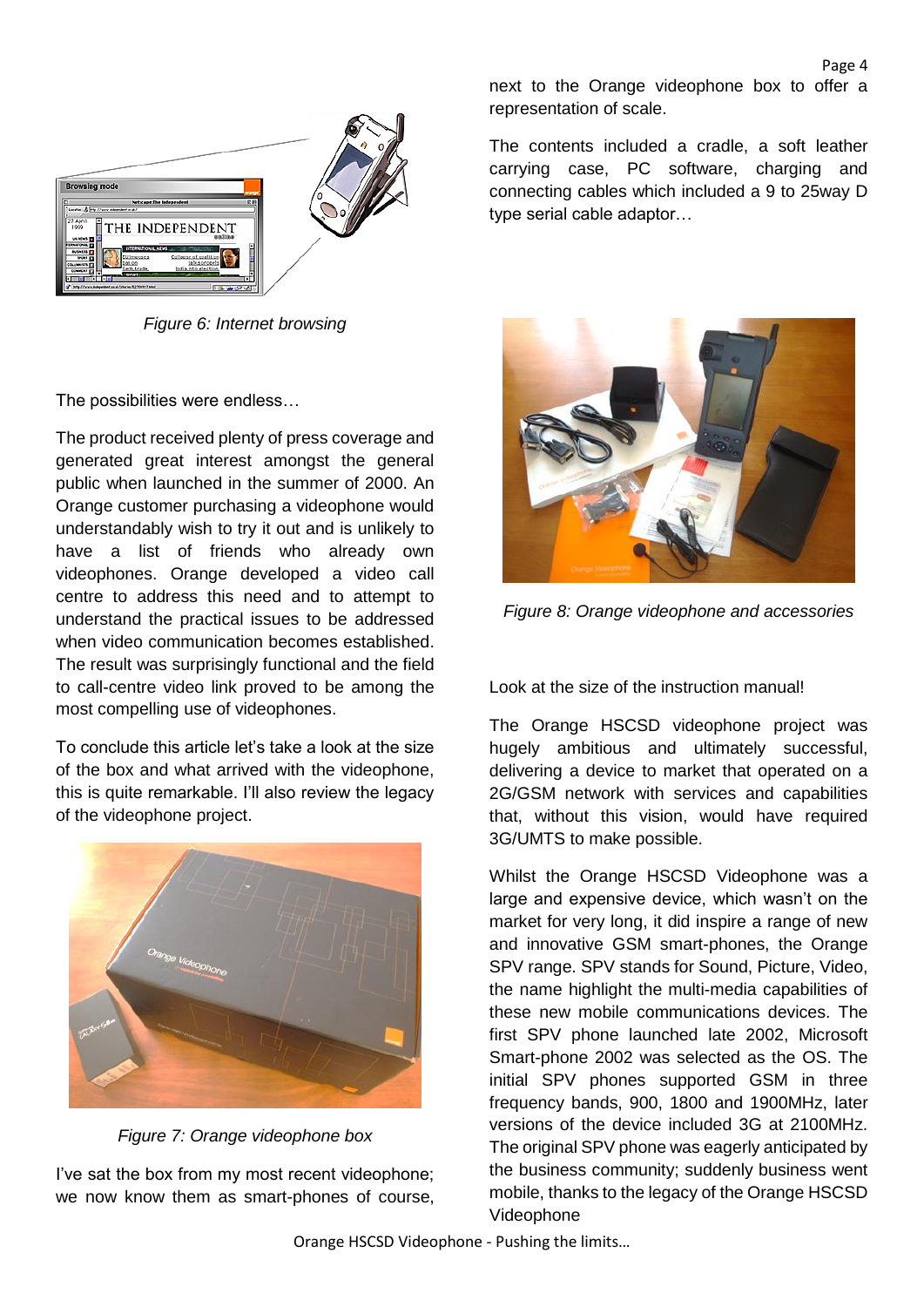

*Figure 6: Internet browsing*

The possibilities were endless…

The product received plenty of press coverage and generated great interest amongst the general public when launched in the summer of 2000. An Orange customer purchasing a videophone would understandably wish to try it out and is unlikely to have a list of friends who already own videophones. Orange developed a video call centre to address this need and to attempt to understand the practical issues to be addressed when video communication becomes established. The result was surprisingly functional and the field to call-centre video link proved to be among the most compelling use of videophones.

To conclude this article let's take a look at the size of the box and what arrived with the videophone, this is quite remarkable. I'll also review the legacy of the videophone project.



*Figure 7: Orange videophone box*

I've sat the box from my most recent videophone; we now know them as smart-phones of course, next to the Orange videophone box to offer a representation of scale.

Page 4

The contents included a cradle, a soft leather carrying case, PC software, charging and connecting cables which included a 9 to 25way D type serial cable adaptor…



*Figure 8: Orange videophone and accessories*

Look at the size of the instruction manual!

The Orange HSCSD videophone project was hugely ambitious and ultimately successful, delivering a device to market that operated on a 2G/GSM network with services and capabilities that, without this vision, would have required 3G/UMTS to make possible.

Whilst the Orange HSCSD Videophone was a large and expensive device, which wasn't on the market for very long, it did inspire a range of new and innovative GSM smart-phones, the Orange SPV range. SPV stands for Sound, Picture, Video, the name highlight the multi-media capabilities of these new mobile communications devices. The first SPV phone launched late 2002, Microsoft Smart-phone 2002 was selected as the OS. The initial SPV phones supported GSM in three frequency bands, 900, 1800 and 1900MHz, later versions of the device included 3G at 2100MHz. The original SPV phone was eagerly anticipated by the business community; suddenly business went mobile, thanks to the legacy of the Orange HSCSD Videophone